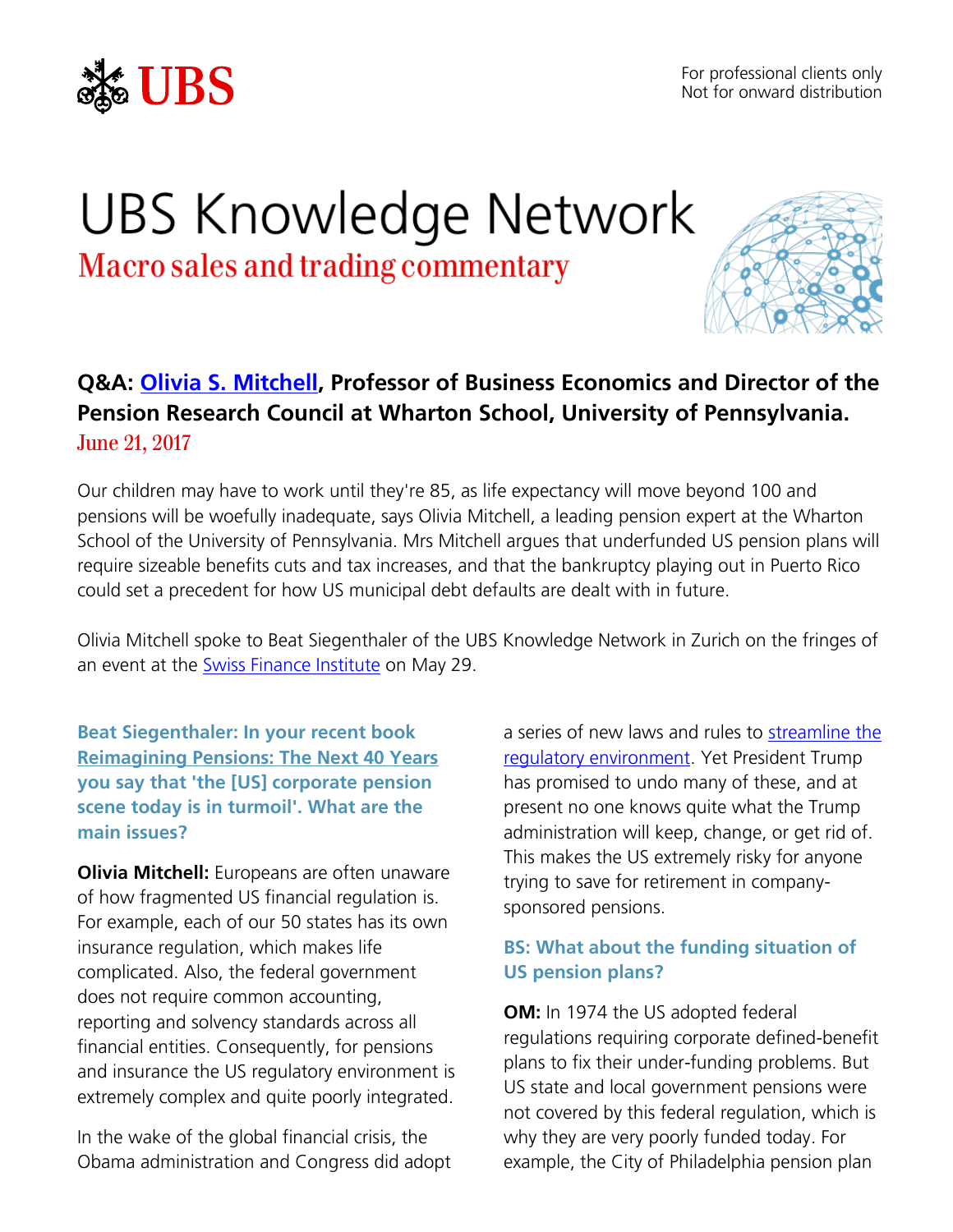

# UBS Knowledge Network

Macro sales and trading commentary



### **Q&A: [Olivia S. Mitchell,](https://bepp.wharton.upenn.edu/profile/mitchelo/) Professor of Business Economics and Director of the Pension Research Council at Wharton School, University of Pennsylvania.** June 21, 2017

Our children may have to work until they're 85, as life expectancy will move beyond 100 and pensions will be woefully inadequate, says Olivia Mitchell, a leading pension expert at the Wharton School of the University of Pennsylvania. Mrs Mitchell argues that underfunded US pension plans will require sizeable benefits cuts and tax increases, and that the bankruptcy playing out in Puerto Rico could set a precedent for how US municipal debt defaults are dealt with in future.

Olivia Mitchell spoke to Beat Siegenthaler of the UBS Knowledge Network in Zurich on the fringes of an event at the [Swiss Finance Institute](http://sfi.ch/) on May 29.

**Beat Siegenthaler: In your recent book [Reimagining Pensions: The Next 40 Years](https://pensionresearchcouncil.wharton.upenn.edu/reimagining-pensions-2/) you say that 'the [US] corporate pension scene today is in turmoil'. What are the main issues?**

**Olivia Mitchell:** Europeans are often unaware of how fragmented US financial regulation is. For example, each of our 50 states has its own insurance regulation, which makes life complicated. Also, the federal government does not require common accounting, reporting and solvency standards across all financial entities. Consequently, for pensions and insurance the US regulatory environment is extremely complex and quite poorly integrated.

In the wake of the global financial crisis, the Obama administration and Congress did adopt

a series of new laws and rules to streamline the [regulatory environment.](https://global.oup.com/academic/product/retirement-system-risk-management-9780198787372?cc=jp&lang=en&) Yet President Trump has promised to undo many of these, and at present no one knows quite what the Trump administration will keep, change, or get rid of. This makes the US extremely risky for anyone trying to save for retirement in companysponsored pensions.

#### **BS: What about the funding situation of US pension plans?**

**OM:** In 1974 the US adopted federal regulations requiring corporate defined-benefit plans to fix their under-funding problems. But US state and local government pensions were not covered by this federal regulation, which is why they are very poorly funded today. For example, the City of Philadelphia pension plan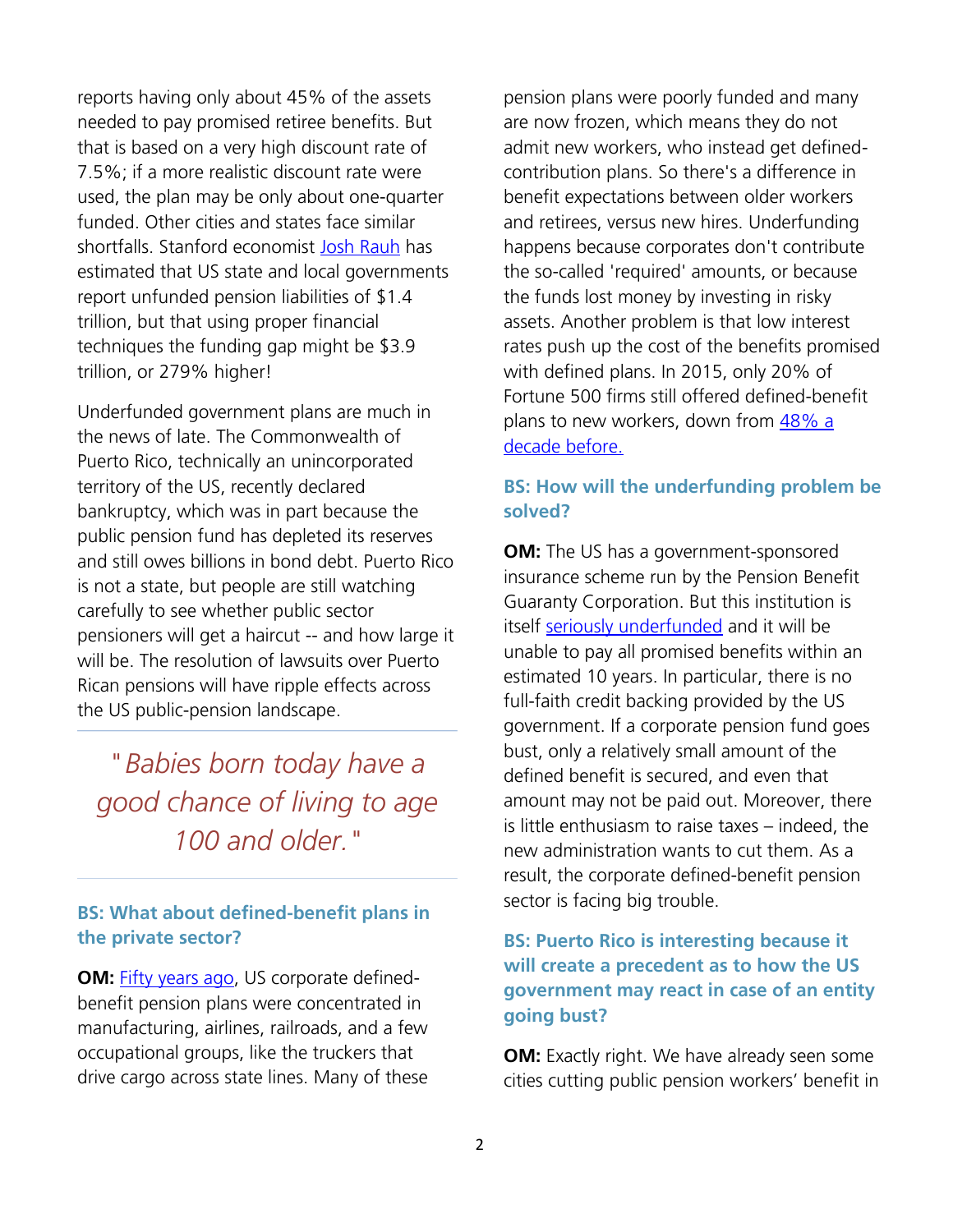reports having only about 45% of the assets needed to pay promised retiree benefits. But that is based on a very high discount rate of 7.5%; if a more realistic discount rate were used, the plan may be only about one-quarter funded. Other cities and states face similar shortfalls. Stanford economist [Josh Rauh](http://www.hoover.org/sites/default/files/research/docs/rauh_hiddendebt2017_final_webreadypdf1.pdf) has estimated that US state and local governments report unfunded pension liabilities of \$1.4 trillion, but that using proper financial techniques the funding gap might be \$3.9 trillion, or 279% higher!

Underfunded government plans are much in the news of late. The Commonwealth of Puerto Rico, technically an unincorporated territory of the US, recently declared bankruptcy, which was in part because the public pension fund has depleted its reserves and still owes billions in bond debt. Puerto Rico is not a state, but people are still watching carefully to see whether public sector pensioners will get a haircut -- and how large it will be. The resolution of lawsuits over Puerto Rican pensions will have ripple effects across the US public-pension landscape.

## *" Babies born today have a good chance of living to age 100 and older."*

#### **BS: What about defined-benefit plans in the private sector?**

**OM:** [Fifty years ago,](https://pensionresearchcouncil.wharton.upenn.edu/publications/books/fundamentals-of-private-pensions/) US corporate definedbenefit pension plans were concentrated in manufacturing, airlines, railroads, and a few occupational groups, like the truckers that drive cargo across state lines. Many of these

pension plans were poorly funded and many are now frozen, which means they do not admit new workers, who instead get definedcontribution plans. So there's a difference in benefit expectations between older workers and retirees, versus new hires. Underfunding happens because corporates don't contribute the so-called 'required' amounts, or because the funds lost money by investing in risky assets. Another problem is that low interest rates push up the cost of the benefits promised with defined plans. In 2015, only 20% of Fortune 500 firms still offered defined-benefit plans to new workers, down from [48% a](https://www.businessinsurance.com/article/20160222/NEWS03/160229986)  [decade before.](https://www.businessinsurance.com/article/20160222/NEWS03/160229986)

#### **BS: How will the underfunding problem be solved?**

**OM:** The US has a government-sponsored insurance scheme run by the Pension Benefit Guaranty Corporation. But this institution is itself [seriously underfunded](http://www.realclearmarkets.com/articles/2016/07/26/who_will_pay_for_the_pension_benefit_guaranty_corporations_huge_losses_102279.html) and it will be unable to pay all promised benefits within an estimated 10 years. In particular, there is no full-faith credit backing provided by the US government. If a corporate pension fund goes bust, only a relatively small amount of the defined benefit is secured, and even that amount may not be paid out. Moreover, there is little enthusiasm to raise taxes – indeed, the new administration wants to cut them. As a result, the corporate defined-benefit pension sector is facing big trouble.

#### **BS: Puerto Rico is interesting because it will create a precedent as to how the US government may react in case of an entity going bust?**

**OM:** Exactly right. We have already seen some cities cutting public pension workers' benefit in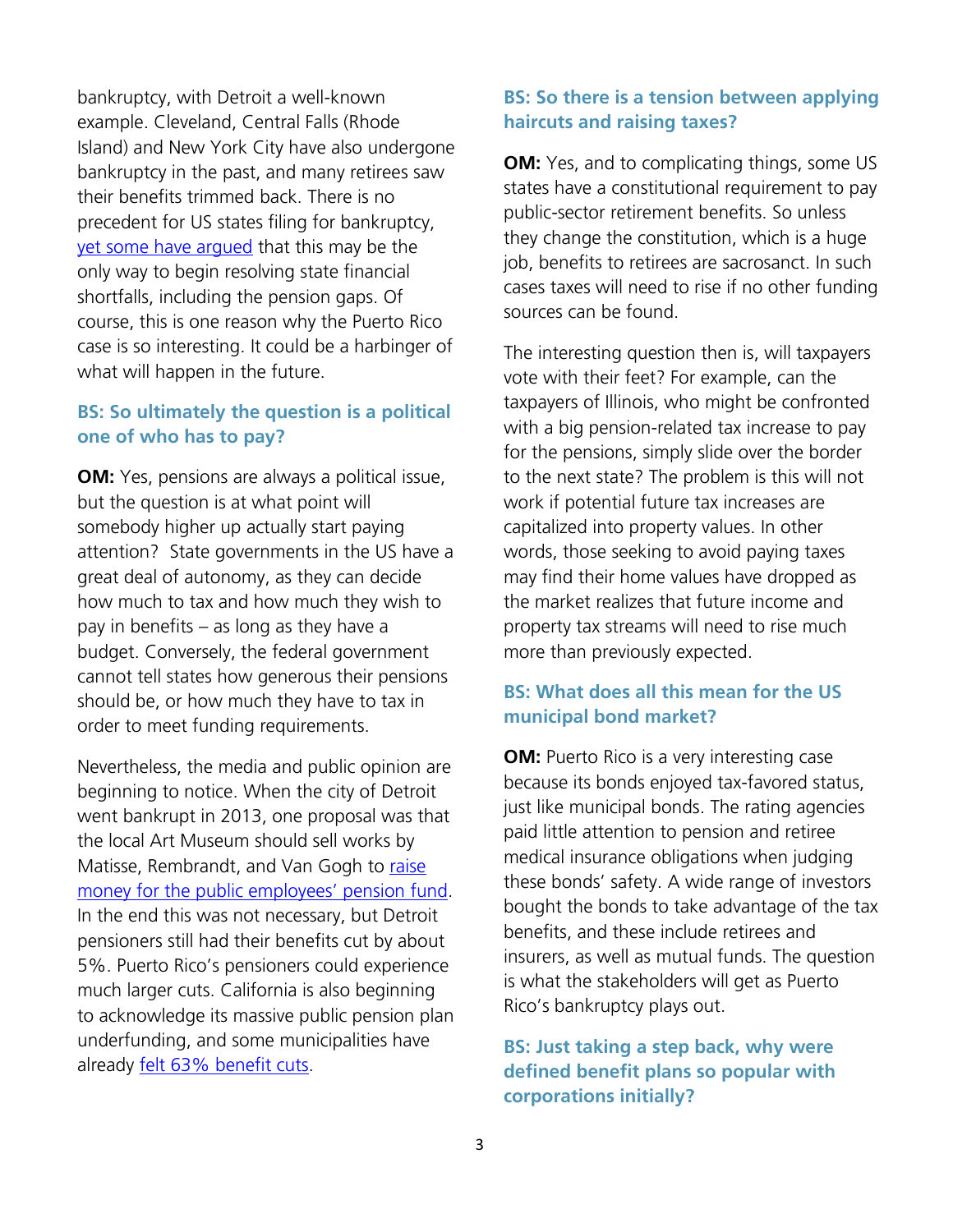bankruptcy, with Detroit a well-known example. Cleveland, Central Falls (Rhode Island) and New York City have also undergone bankruptcy in the past, and many retirees saw their benefits trimmed back. There is no precedent for US states filing for bankruptcy, [yet some have argued](https://www.bloomberg.com/news/articles/2016-01-21/the-case-for-allowing-u-s-states-to-declare-bankruptcy) that this may be the only way to begin resolving state financial shortfalls, including the pension gaps. Of course, this is one reason why the Puerto Rico case is so interesting. It could be a harbinger of what will happen in the future.

#### **BS: So ultimately the question is a political one of who has to pay?**

**OM:** Yes, pensions are always a political issue, but the question is at what point will somebody higher up actually start paying attention? State governments in the US have a great deal of autonomy, as they can decide how much to tax and how much they wish to pay in benefits – as long as they have a budget. Conversely, the federal government cannot tell states how generous their pensions should be, or how much they have to tax in order to meet funding requirements.

Nevertheless, the media and public opinion are beginning to notice. When the city of Detroit went bankrupt in 2013, one proposal was that the local Art Museum should sell works by Matisse, Rembrandt, and Van Gogh to [raise](http://www.slate.com/blogs/moneybox/2014/11/07/detroit_exits_bankruptcy_city_s_pensions_saved_in_part_thanks_to_detroit.html)  [money for the public employees' pension fund](http://www.slate.com/blogs/moneybox/2014/11/07/detroit_exits_bankruptcy_city_s_pensions_saved_in_part_thanks_to_detroit.html). In the end this was not necessary, but Detroit pensioners still had their benefits cut by about 5%. Puerto Rico's pensioners could experience much larger cuts. California is also beginning to acknowledge its massive public pension plan underfunding, and some municipalities have already [felt 63% benefit cuts.](https://www.bloomberg.com/news/articles/2017-03-07/calpers-board-set-to-vote-on-slashing-pension-benefits-by-63)

#### **BS: So there is a tension between applying haircuts and raising taxes?**

**OM:** Yes, and to complicating things, some US states have a constitutional requirement to pay public-sector retirement benefits. So unless they change the constitution, which is a huge job, benefits to retirees are sacrosanct. In such cases taxes will need to rise if no other funding sources can be found.

The interesting question then is, will taxpayers vote with their feet? For example, can the taxpayers of Illinois, who might be confronted with a big pension-related tax increase to pay for the pensions, simply slide over the border to the next state? The problem is this will not work if potential future tax increases are capitalized into property values. In other words, those seeking to avoid paying taxes may find their home values have dropped as the market realizes that future income and property tax streams will need to rise much more than previously expected.

#### **BS: What does all this mean for the US municipal bond market?**

**OM:** Puerto Rico is a very interesting case because its bonds enjoyed tax-favored status, just like municipal bonds. The rating agencies paid little attention to pension and retiree medical insurance obligations when judging these bonds' safety. A wide range of investors bought the bonds to take advantage of the tax benefits, and these include retirees and insurers, as well as mutual funds. The question is what the stakeholders will get as Puerto Rico's bankruptcy plays out.

#### **BS: Just taking a step back, why were defined benefit plans so popular with corporations initially?**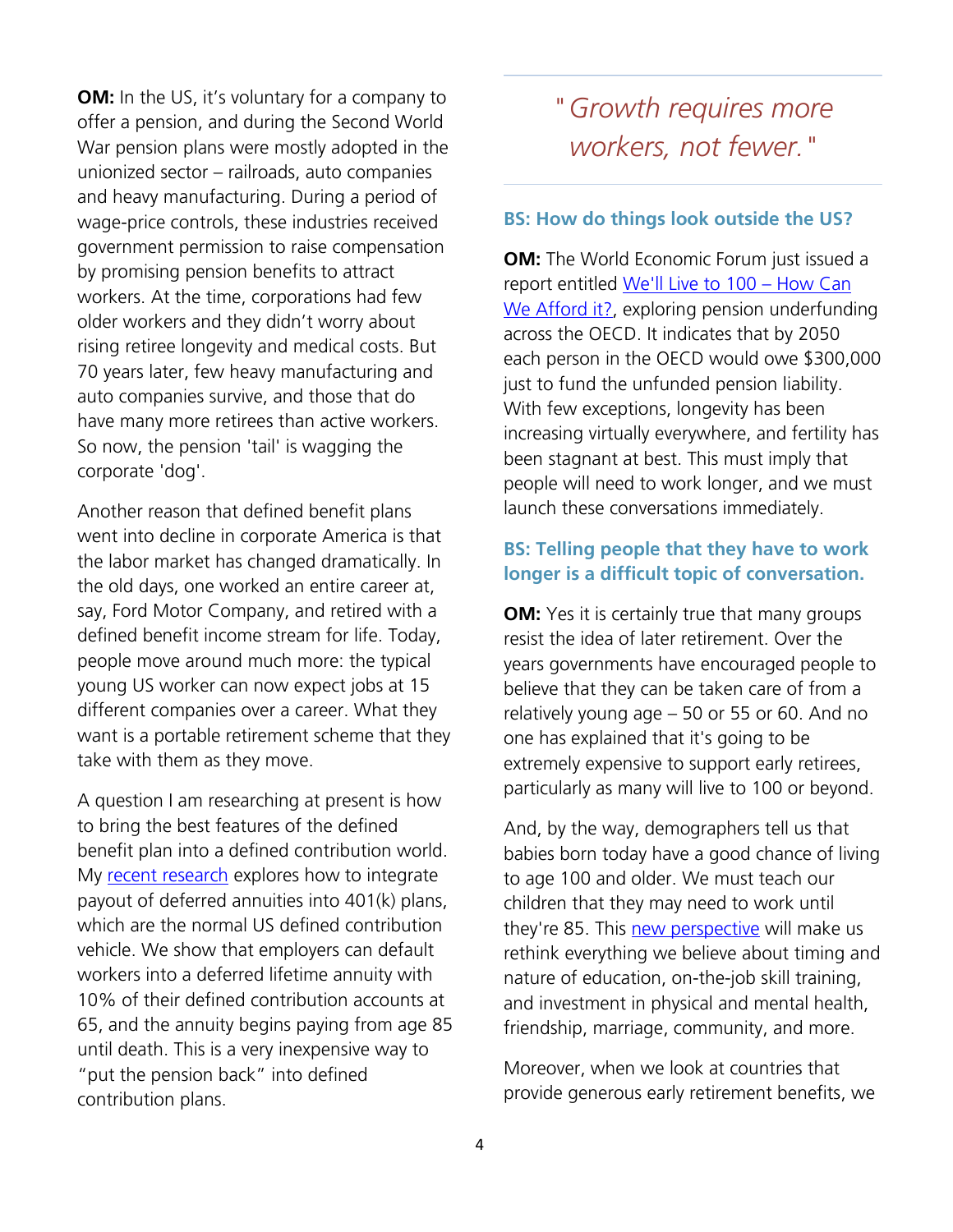**OM:** In the US, it's voluntary for a company to offer a pension, and during the Second World War pension plans were mostly adopted in the unionized sector – railroads, auto companies and heavy manufacturing. During a period of wage-price controls, these industries received government permission to raise compensation by promising pension benefits to attract workers. At the time, corporations had few older workers and they didn't worry about rising retiree longevity and medical costs. But 70 years later, few heavy manufacturing and auto companies survive, and those that do have many more retirees than active workers. So now, the pension 'tail' is wagging the corporate 'dog'.

Another reason that defined benefit plans went into decline in corporate America is that the labor market has changed dramatically. In the old days, one worked an entire career at, say, Ford Motor Company, and retired with a defined benefit income stream for life. Today, people move around much more: the typical young US worker can now expect jobs at 15 different companies over a career. What they want is a portable retirement scheme that they take with them as they move.

A question I am researching at present is how to bring the best features of the defined benefit plan into a defined contribution world. My [recent research](https://blogs.wsj.com/experts/2016/10/23/how-to-put-the-pension-back-into-retirement-plans/) explores how to integrate payout of deferred annuities into 401(k) plans, which are the normal US defined contribution vehicle. We show that employers can default workers into a deferred lifetime annuity with 10% of their defined contribution accounts at 65, and the annuity begins paying from age 85 until death. This is a very inexpensive way to "put the pension back" into defined contribution plans.

# *"Growth requires more workers, not fewer."*

#### **BS: How do things look outside the US?**

**OM:** The World Economic Forum just issued a report entitled [We'll Live to 100](http://www3.weforum.org/docs/WEF_White_Paper_We_Will_Live_to_100.pdf) – How Can [We Afford it?,](http://www3.weforum.org/docs/WEF_White_Paper_We_Will_Live_to_100.pdf) exploring pension underfunding across the OECD. It indicates that by 2050 each person in the OECD would owe \$300,000 just to fund the unfunded pension liability. With few exceptions, longevity has been increasing virtually everywhere, and fertility has been stagnant at best. This must imply that people will need to work longer, and we must launch these conversations immediately.

#### **BS: Telling people that they have to work longer is a difficult topic of conversation.**

**OM:** Yes it is certainly true that many groups resist the idea of later retirement. Over the years governments have encouraged people to believe that they can be taken care of from a relatively young age – 50 or 55 or 60. And no one has explained that it's going to be extremely expensive to support early retirees, particularly as many will live to 100 or beyond.

And, by the way, demographers tell us that babies born today have a good chance of living to age 100 and older. We must teach our children that they may need to work until they're 85. This [new perspective](https://hbr.org/2016/06/how-work-will-change-when-most-of-us-live-to-100) will make us rethink everything we believe about timing and nature of education, on-the-job skill training, and investment in physical and mental health, friendship, marriage, community, and more.

Moreover, when we look at countries that provide generous early retirement benefits, we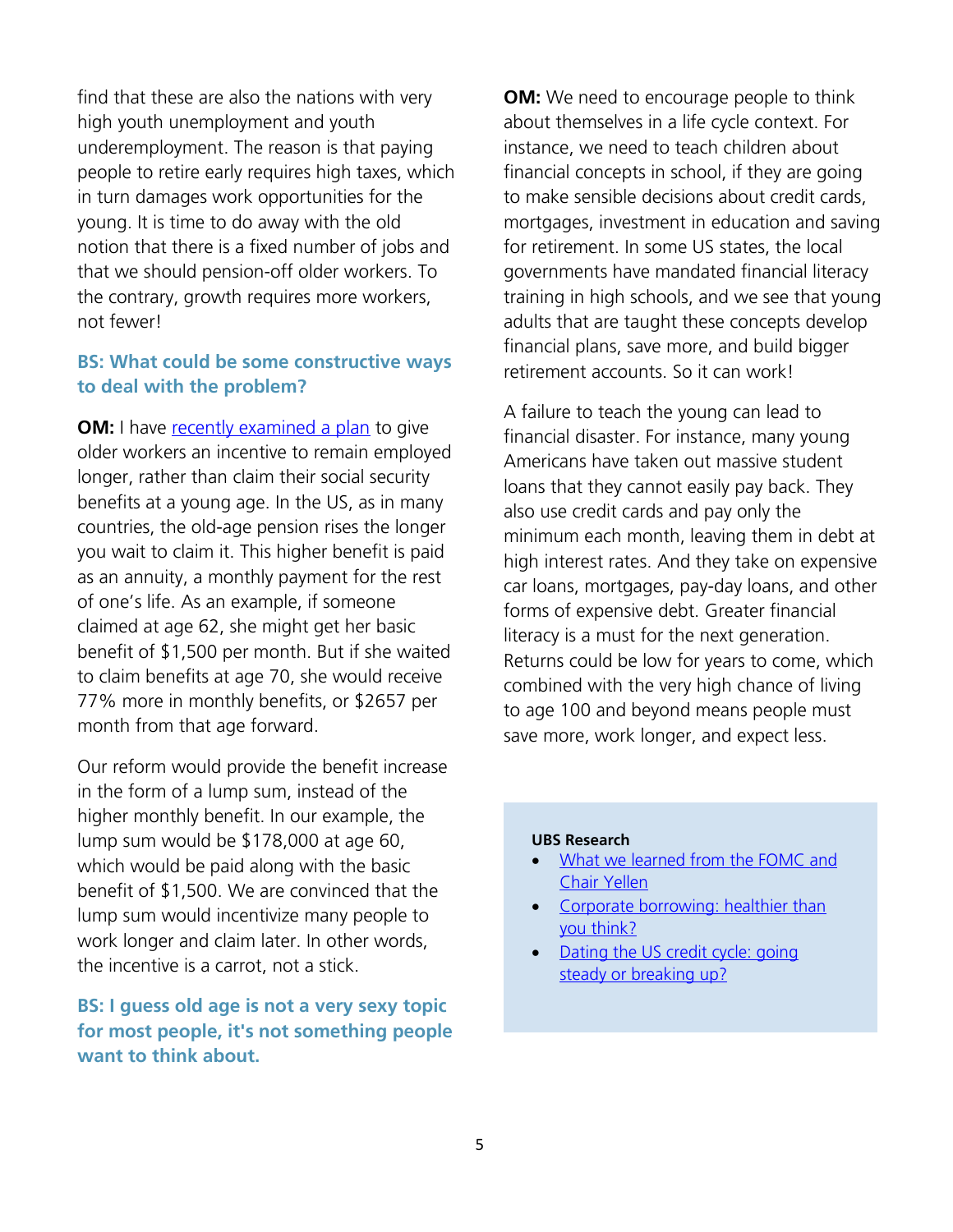find that these are also the nations with very high youth unemployment and youth underemployment. The reason is that paying people to retire early requires high taxes, which in turn damages work opportunities for the young. It is time to do away with the old notion that there is a fixed number of jobs and that we should pension-off older workers. To the contrary, growth requires more workers, not fewer!

#### **BS: What could be some constructive ways to deal with the problem?**

**OM:** I have [recently examined a plan](http://time.com/money/4339039/social-security-lump-sum-delay/) to give older workers an incentive to remain employed longer, rather than claim their social security benefits at a young age. In the US, as in many countries, the old-age pension rises the longer you wait to claim it. This higher benefit is paid as an annuity, a monthly payment for the rest of one's life. As an example, if someone claimed at age 62, she might get her basic benefit of \$1,500 per month. But if she waited to claim benefits at age 70, she would receive 77% more in monthly benefits, or \$2657 per month from that age forward.

Our reform would provide the benefit increase in the form of a lump sum, instead of the higher monthly benefit. In our example, the lump sum would be \$178,000 at age 60, which would be paid along with the basic benefit of \$1,500. We are convinced that the lump sum would incentivize many people to work longer and claim later. In other words, the incentive is a carrot, not a stick.

**BS: I guess old age is not a very sexy topic for most people, it's not something people want to think about.**

**OM:** We need to encourage people to think about themselves in a life cycle context. For instance, we need to teach children about financial concepts in school, if they are going to make sensible decisions about credit cards, mortgages, investment in education and saving for retirement. In some US states, the local governments have mandated financial literacy training in high schools, and we see that young adults that are taught these concepts develop financial plans, save more, and build bigger retirement accounts. So it can work!

A failure to teach the young can lead to financial disaster. For instance, many young Americans have taken out massive student loans that they cannot easily pay back. They also use credit cards and pay only the minimum each month, leaving them in debt at high interest rates. And they take on expensive car loans, mortgages, pay-day loans, and other forms of expensive debt. Greater financial literacy is a must for the next generation. Returns could be low for years to come, which combined with the very high chance of living to age 100 and beyond means people must save more, work longer, and expect less.

#### **UBS Research**

- [What we learned from the FOMC and](https://neo.ubs.com/shared/d1PKQjKVAGQ6JW)  [Chair Yellen](https://neo.ubs.com/shared/d1PKQjKVAGQ6JW)
- Corporate borrowing: healthier than [you think?](https://neo.ubs.com/shared/d1q2uzy8tpENfU)
- Dating the US credit cycle: going [steady or breaking up?](https://neo.ubs.com/shared/d1csF4kEeG)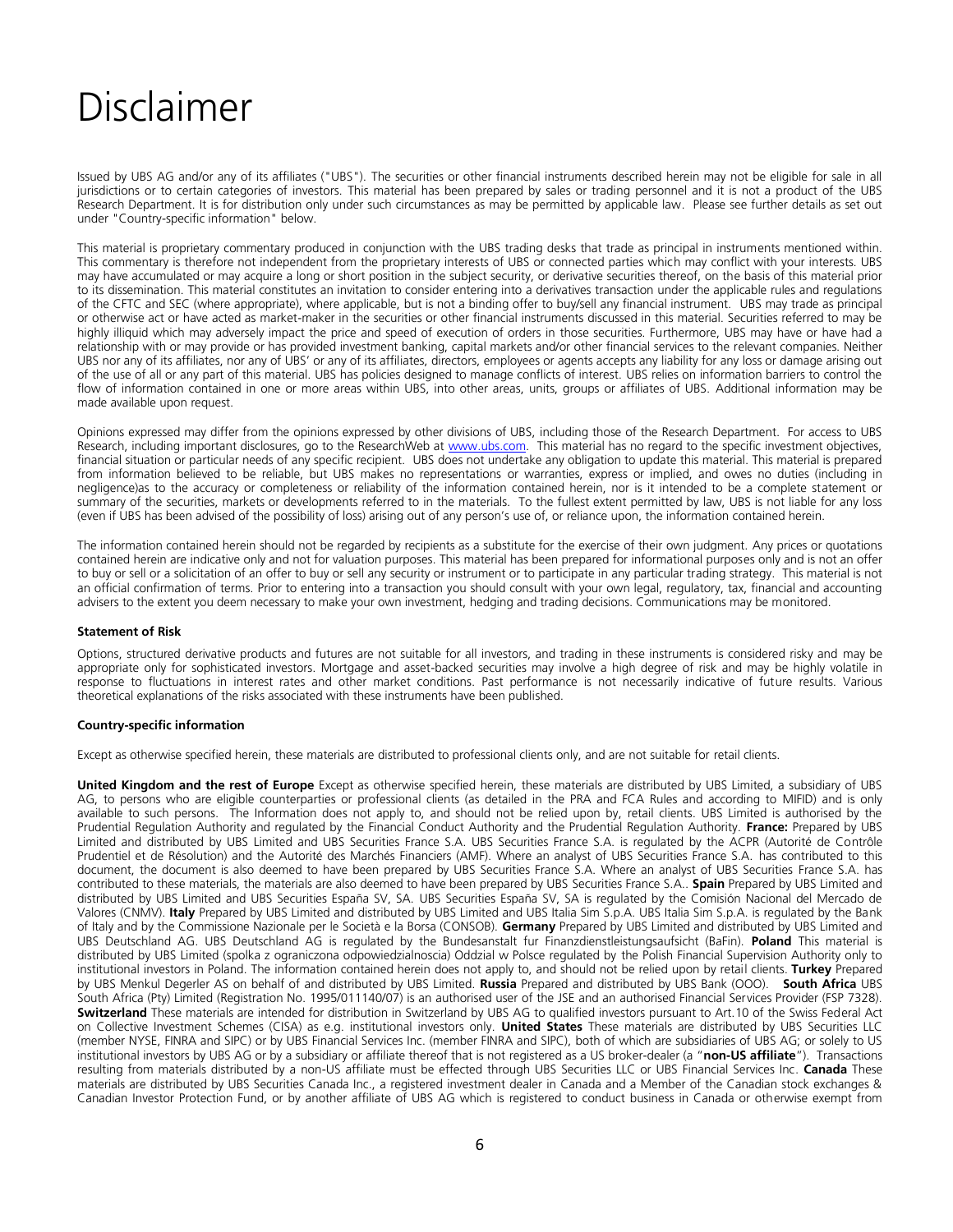# Disclaimer

Issued by UBS AG and/or any of its affiliates ("UBS"). The securities or other financial instruments described herein may not be eligible for sale in all jurisdictions or to certain categories of investors. This material has been prepared by sales or trading personnel and it is not a product of the UBS Research Department. It is for distribution only under such circumstances as may be permitted by applicable law. Please see further details as set out under "Country-specific information" below.

This material is proprietary commentary produced in conjunction with the UBS trading desks that trade as principal in instruments mentioned within. This commentary is therefore not independent from the proprietary interests of UBS or connected parties which may conflict with your interests. UBS may have accumulated or may acquire a long or short position in the subject security, or derivative securities thereof, on the basis of this material prior to its dissemination. This material constitutes an invitation to consider entering into a derivatives transaction under the applicable rules and regulations of the CFTC and SEC (where appropriate), where applicable, but is not a binding offer to buy/sell any financial instrument. UBS may trade as principal or otherwise act or have acted as market-maker in the securities or other financial instruments discussed in this material. Securities referred to may be highly illiquid which may adversely impact the price and speed of execution of orders in those securities. Furthermore, UBS may have or have had a relationship with or may provide or has provided investment banking, capital markets and/or other financial services to the relevant companies. Neither UBS nor any of its affiliates, nor any of UBS' or any of its affiliates, directors, employees or agents accepts any liability for any loss or damage arising out of the use of all or any part of this material. UBS has policies designed to manage conflicts of interest. UBS relies on information barriers to control the flow of information contained in one or more areas within UBS, into other areas, units, groups or affiliates of UBS. Additional information may be made available upon request.

Opinions expressed may differ from the opinions expressed by other divisions of UBS, including those of the Research Department. For access to UBS Research, including important disclosures, go to the ResearchWeb at [www.ubs.com.](http://www.ubs.com/) This material has no regard to the specific investment objectives, financial situation or particular needs of any specific recipient. UBS does not undertake any obligation to update this material. This material is prepared from information believed to be reliable, but UBS makes no representations or warranties, express or implied, and owes no duties (including in negligence)as to the accuracy or completeness or reliability of the information contained herein, nor is it intended to be a complete statement or summary of the securities, markets or developments referred to in the materials. To the fullest extent permitted by law, UBS is not liable for any loss (even if UBS has been advised of the possibility of loss) arising out of any person's use of, or reliance upon, the information contained herein.

The information contained herein should not be regarded by recipients as a substitute for the exercise of their own judgment. Any prices or quotations contained herein are indicative only and not for valuation purposes. This material has been prepared for informational purposes only and is not an offer to buy or sell or a solicitation of an offer to buy or sell any security or instrument or to participate in any particular trading strategy. This material is not an official confirmation of terms. Prior to entering into a transaction you should consult with your own legal, regulatory, tax, financial and accounting advisers to the extent you deem necessary to make your own investment, hedging and trading decisions. Communications may be monitored.

#### **Statement of Risk**

Options, structured derivative products and futures are not suitable for all investors, and trading in these instruments is considered risky and may be appropriate only for sophisticated investors. Mortgage and asset-backed securities may involve a high degree of risk and may be highly volatile in response to fluctuations in interest rates and other market conditions. Past performance is not necessarily indicative of future results. Various theoretical explanations of the risks associated with these instruments have been published.

#### **Country-specific information**

Except as otherwise specified herein, these materials are distributed to professional clients only, and are not suitable for retail clients.

**United Kingdom and the rest of Europe** Except as otherwise specified herein, these materials are distributed by UBS Limited, a subsidiary of UBS AG, to persons who are eligible counterparties or professional clients (as detailed in the PRA and FCA Rules and according to MIFID) and is only available to such persons. The Information does not apply to, and should not be relied upon by, retail clients. UBS Limited is authorised by the Prudential Regulation Authority and regulated by the Financial Conduct Authority and the Prudential Regulation Authority. **France:** Prepared by UBS Limited and distributed by UBS Limited and UBS Securities France S.A. UBS Securities France S.A. is regulated by the ACPR (Autorité de Contrôle Prudentiel et de Résolution) and the Autorité des Marchés Financiers (AMF). Where an analyst of UBS Securities France S.A. has contributed to this document, the document is also deemed to have been prepared by UBS Securities France S.A. Where an analyst of UBS Securities France S.A. has contributed to these materials, the materials are also deemed to have been prepared by UBS Securities France S.A.. **Spain** Prepared by UBS Limited and distributed by UBS Limited and UBS Securities España SV, SA. UBS Securities España SV, SA is regulated by the Comisión Nacional del Mercado de Valores (CNMV). **Italy** Prepared by UBS Limited and distributed by UBS Limited and UBS Italia Sim S.p.A. UBS Italia Sim S.p.A. is regulated by the Bank of Italy and by the Commissione Nazionale per le Società e la Borsa (CONSOB). **Germany** Prepared by UBS Limited and distributed by UBS Limited and UBS Deutschland AG. UBS Deutschland AG is regulated by the Bundesanstalt fur Finanzdienstleistungsaufsicht (BaFin). **Poland** This material is distributed by UBS Limited (spolka z ograniczona odpowiedzialnoscia) Oddzial w Polsce regulated by the Polish Financial Supervision Authority only to institutional investors in Poland. The information contained herein does not apply to, and should not be relied upon by retail clients. **Turkey** Prepared by UBS Menkul Degerler AS on behalf of and distributed by UBS Limited. **Russia** Prepared and distributed by UBS Bank (OOO). **South Africa** UBS South Africa (Pty) Limited (Registration No. 1995/011140/07) is an authorised user of the JSE and an authorised Financial Services Provider (FSP 7328). **Switzerland** These materials are intended for distribution in Switzerland by UBS AG to qualified investors pursuant to Art.10 of the Swiss Federal Act on Collective Investment Schemes (CISA) as e.g. institutional investors only. **United States** These materials are distributed by UBS Securities LLC (member NYSE, FINRA and SIPC) or by UBS Financial Services Inc. (member FINRA and SIPC), both of which are subsidiaries of UBS AG; or solely to US institutional investors by UBS AG or by a subsidiary or affiliate thereof that is not registered as a US broker-dealer (a "**non-US affiliate**"). Transactions resulting from materials distributed by a non-US affiliate must be effected through UBS Securities LLC or UBS Financial Services Inc. **Canada** These materials are distributed by UBS Securities Canada Inc., a registered investment dealer in Canada and a Member of the Canadian stock exchanges & Canadian Investor Protection Fund, or by another affiliate of UBS AG which is registered to conduct business in Canada or otherwise exempt from